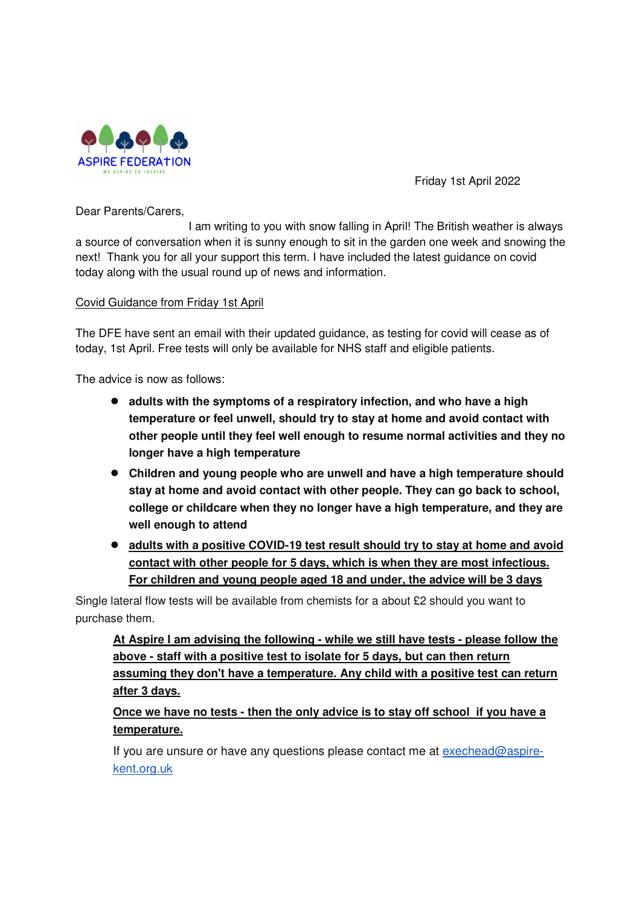

Friday 1st April 2022

Dear Parents/Carers,

 I am writing to you with snow falling in April! The British weather is always a source of conversation when it is sunny enough to sit in the garden one week and snowing the next! Thank you for all your support this term. I have included the latest guidance on covid today along with the usual round up of news and information.

# Covid Guidance from Friday 1st April

The DFE have sent an email with their updated guidance, as testing for covid will cease as of today, 1st April. Free tests will only be available for NHS staff and eligible patients.

The advice is now as follows:

- **adults with the symptoms of a respiratory infection, and who have a high temperature or feel unwell, should try to stay at home and avoid contact with other people until they feel well enough to resume normal activities and they no longer have a high temperature**
- **Children and young people who are unwell and have a high temperature should stay at home and avoid contact with other people. They can go back to school, college or childcare when they no longer have a high temperature, and they are well enough to attend**
- **adults with a positive COVID-19 test result should try to stay at home and avoid contact with other people for 5 days, which is when they are most infectious. For children and young people aged 18 and under, the advice will be 3 days**

Single lateral flow tests will be available from chemists for a about £2 should you want to purchase them.

**At Aspire I am advising the following - while we still have tests - please follow the above - staff with a positive test to isolate for 5 days, but can then return assuming they don't have a temperature. Any child with a positive test can return after 3 days.** 

# **Once we have no tests - then the only advice is to stay off school if you have a temperature.**

If you are unsure or have any questions please contact me at exechead@aspirekent.org.uk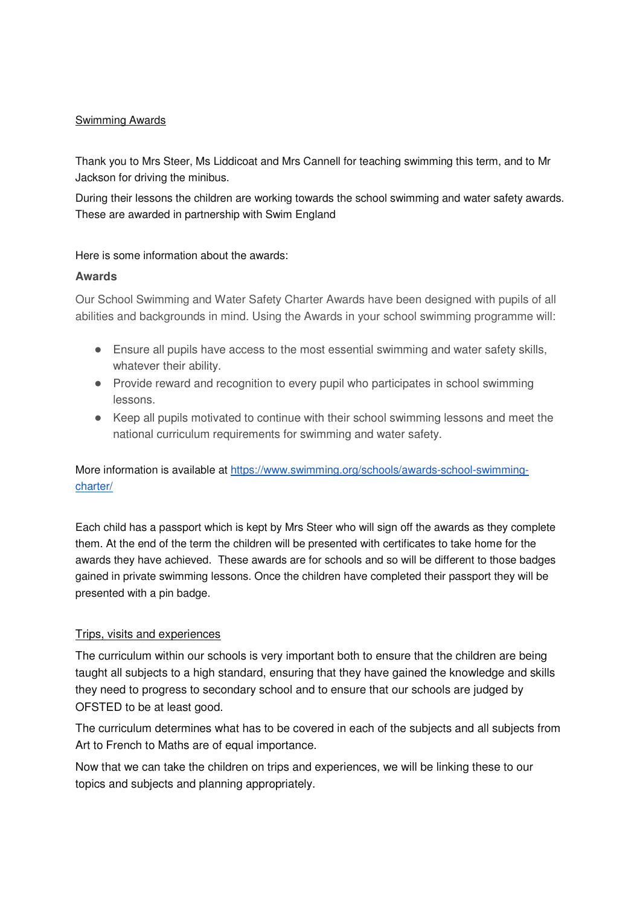## Swimming Awards

Thank you to Mrs Steer, Ms Liddicoat and Mrs Cannell for teaching swimming this term, and to Mr Jackson for driving the minibus.

During their lessons the children are working towards the school swimming and water safety awards. These are awarded in partnership with Swim England

Here is some information about the awards:

#### **Awards**

Our School Swimming and Water Safety Charter Awards have been designed with pupils of all abilities and backgrounds in mind. Using the Awards in your school swimming programme will:

- Ensure all pupils have access to the most essential swimming and water safety skills, whatever their ability.
- Provide reward and recognition to every pupil who participates in school swimming lessons.
- Keep all pupils motivated to continue with their school swimming lessons and meet the national curriculum requirements for swimming and water safety.

More information is available at https://www.swimming.org/schools/awards-school-swimmingcharter/

Each child has a passport which is kept by Mrs Steer who will sign off the awards as they complete them. At the end of the term the children will be presented with certificates to take home for the awards they have achieved. These awards are for schools and so will be different to those badges gained in private swimming lessons. Once the children have completed their passport they will be presented with a pin badge.

#### Trips, visits and experiences

The curriculum within our schools is very important both to ensure that the children are being taught all subjects to a high standard, ensuring that they have gained the knowledge and skills they need to progress to secondary school and to ensure that our schools are judged by OFSTED to be at least good.

The curriculum determines what has to be covered in each of the subjects and all subjects from Art to French to Maths are of equal importance.

Now that we can take the children on trips and experiences, we will be linking these to our topics and subjects and planning appropriately.